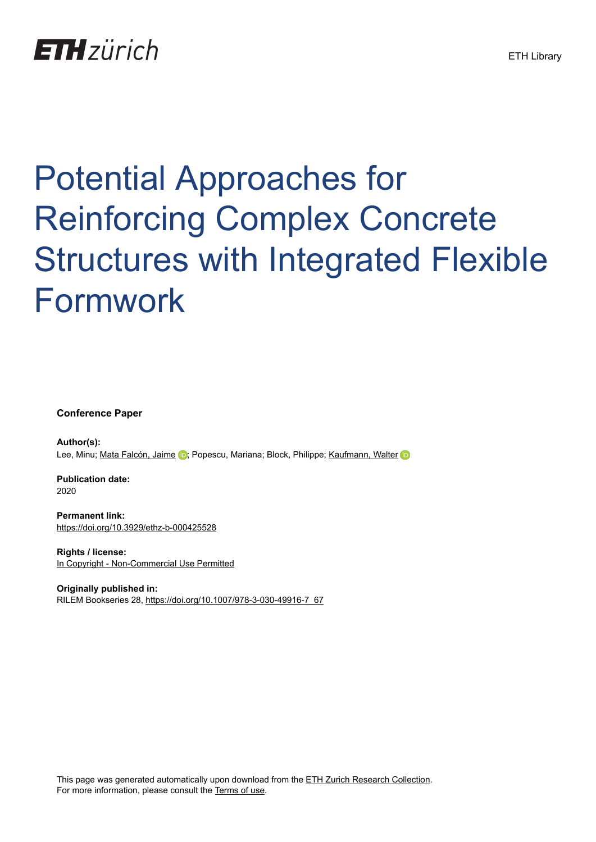# **ETH** zürich

# Potential Approaches for Reinforcing Complex Concrete Structures with Integrated Flexible Formwork

**Conference Paper**

**Author(s):** Lee, Minu; [Mata Falcón, Jaime](https://orcid.org/0000-0001-8701-4410) D; Popescu, Mariana; Block, Philippe; [Kaufmann, Walter](https://orcid.org/0000-0002-8415-4896) D

**Publication date:** 2020

**Permanent link:** <https://doi.org/10.3929/ethz-b-000425528>

**Rights / license:** [In Copyright - Non-Commercial Use Permitted](http://rightsstatements.org/page/InC-NC/1.0/)

**Originally published in:** RILEM Bookseries 28, [https://doi.org/10.1007/978-3-030-49916-7\\_67](https://doi.org/10.1007/978-3-030-49916-7_67)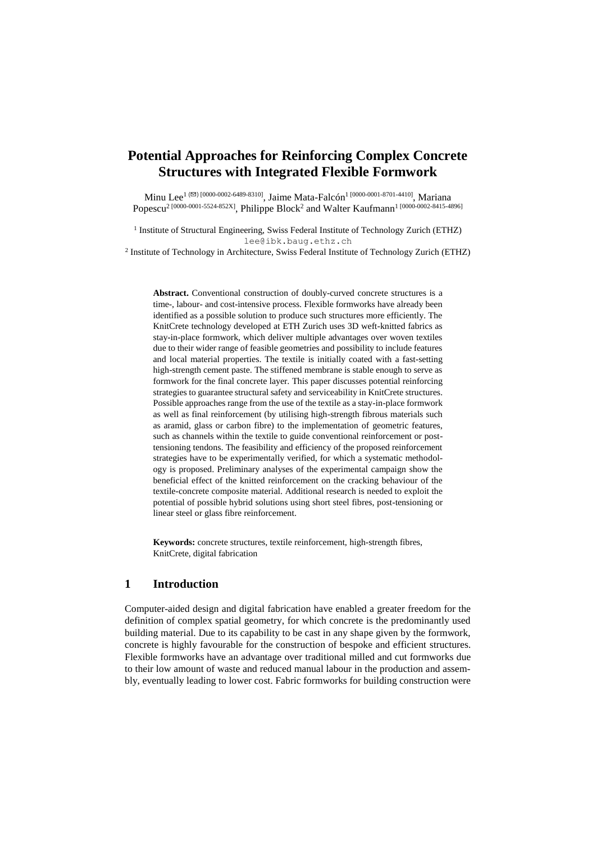# **Potential Approaches for Reinforcing Complex Concrete Structures with Integrated Flexible Formwork**

Minu Lee<sup>1 ( $\boxtimes$ ) [0000-0002-6489-8310], Jaime Mata-Falcón<sup>1 [0000-0001-8701-4410]</sup>, Mariana</sup> Popescu<sup>2</sup> [0000-0001-5524-852X], Philippe Block<sup>2</sup> and Walter Kaufmann<sup>1</sup> [0000-0002-8415-4896]

<sup>1</sup> Institute of Structural Engineering, Swiss Federal Institute of Technology Zurich (ETHZ) lee@ibk.baug.ethz.ch

2 Institute of Technology in Architecture, Swiss Federal Institute of Technology Zurich (ETHZ)

**Abstract.** Conventional construction of doubly-curved concrete structures is a time-, labour- and cost-intensive process. Flexible formworks have already been identified as a possible solution to produce such structures more efficiently. The KnitCrete technology developed at ETH Zurich uses 3D weft-knitted fabrics as stay-in-place formwork, which deliver multiple advantages over woven textiles due to their wider range of feasible geometries and possibility to include features and local material properties. The textile is initially coated with a fast-setting high-strength cement paste. The stiffened membrane is stable enough to serve as formwork for the final concrete layer. This paper discusses potential reinforcing strategies to guarantee structural safety and serviceability in KnitCrete structures. Possible approaches range from the use of the textile as a stay-in-place formwork as well as final reinforcement (by utilising high-strength fibrous materials such as aramid, glass or carbon fibre) to the implementation of geometric features, such as channels within the textile to guide conventional reinforcement or posttensioning tendons. The feasibility and efficiency of the proposed reinforcement strategies have to be experimentally verified, for which a systematic methodology is proposed. Preliminary analyses of the experimental campaign show the beneficial effect of the knitted reinforcement on the cracking behaviour of the textile-concrete composite material. Additional research is needed to exploit the potential of possible hybrid solutions using short steel fibres, post-tensioning or linear steel or glass fibre reinforcement.

**Keywords:** concrete structures, textile reinforcement, high-strength fibres, KnitCrete, digital fabrication

## **1 Introduction**

Computer-aided design and digital fabrication have enabled a greater freedom for the definition of complex spatial geometry, for which concrete is the predominantly used building material. Due to its capability to be cast in any shape given by the formwork, concrete is highly favourable for the construction of bespoke and efficient structures. Flexible formworks have an advantage over traditional milled and cut formworks due to their low amount of waste and reduced manual labour in the production and assembly, eventually leading to lower cost. Fabric formworks for building construction were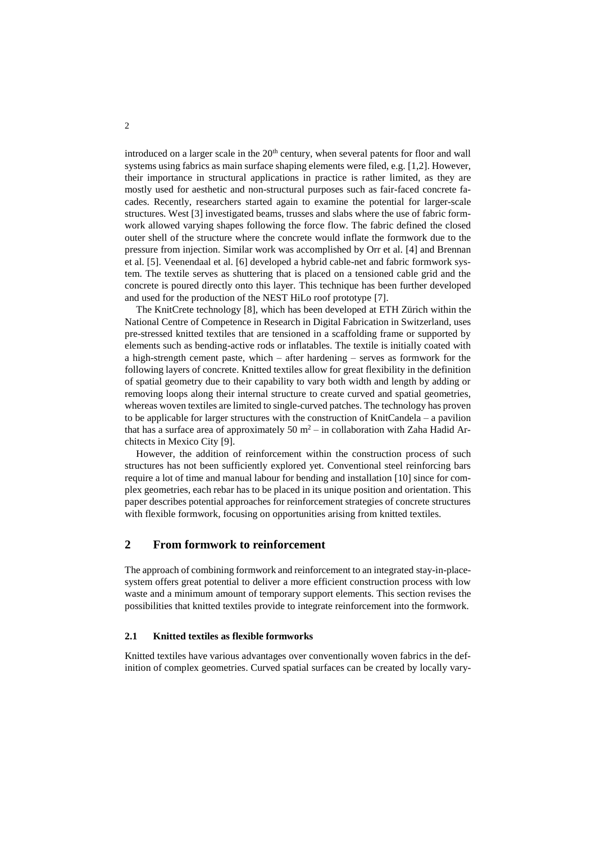introduced on a larger scale in the  $20<sup>th</sup>$  century, when several patents for floor and wall systems using fabrics as main surface shaping elements were filed, e.g. [1,2]. However, their importance in structural applications in practice is rather limited, as they are mostly used for aesthetic and non-structural purposes such as fair-faced concrete facades. Recently, researchers started again to examine the potential for larger-scale structures. West [3] investigated beams, trusses and slabs where the use of fabric formwork allowed varying shapes following the force flow. The fabric defined the closed outer shell of the structure where the concrete would inflate the formwork due to the pressure from injection. Similar work was accomplished by Orr et al. [4] and Brennan et al. [5]. Veenendaal et al. [6] developed a hybrid cable-net and fabric formwork system. The textile serves as shuttering that is placed on a tensioned cable grid and the concrete is poured directly onto this layer. This technique has been further developed and used for the production of the NEST HiLo roof prototype [7].

The KnitCrete technology [8], which has been developed at ETH Zürich within the National Centre of Competence in Research in Digital Fabrication in Switzerland, uses pre-stressed knitted textiles that are tensioned in a scaffolding frame or supported by elements such as bending-active rods or inflatables. The textile is initially coated with a high-strength cement paste, which – after hardening – serves as formwork for the following layers of concrete. Knitted textiles allow for great flexibility in the definition of spatial geometry due to their capability to vary both width and length by adding or removing loops along their internal structure to create curved and spatial geometries, whereas woven textiles are limited to single-curved patches. The technology has proven to be applicable for larger structures with the construction of KnitCandela – a pavilion that has a surface area of approximately 50  $m^2$  – in collaboration with Zaha Hadid Architects in Mexico City [9].

However, the addition of reinforcement within the construction process of such structures has not been sufficiently explored yet. Conventional steel reinforcing bars require a lot of time and manual labour for bending and installation [10] since for complex geometries, each rebar has to be placed in its unique position and orientation. This paper describes potential approaches for reinforcement strategies of concrete structures with flexible formwork, focusing on opportunities arising from knitted textiles.

# **2 From formwork to reinforcement**

The approach of combining formwork and reinforcement to an integrated stay-in-placesystem offers great potential to deliver a more efficient construction process with low waste and a minimum amount of temporary support elements. This section revises the possibilities that knitted textiles provide to integrate reinforcement into the formwork.

#### <span id="page-2-0"></span>**2.1 Knitted textiles as flexible formworks**

Knitted textiles have various advantages over conventionally woven fabrics in the definition of complex geometries. Curved spatial surfaces can be created by locally vary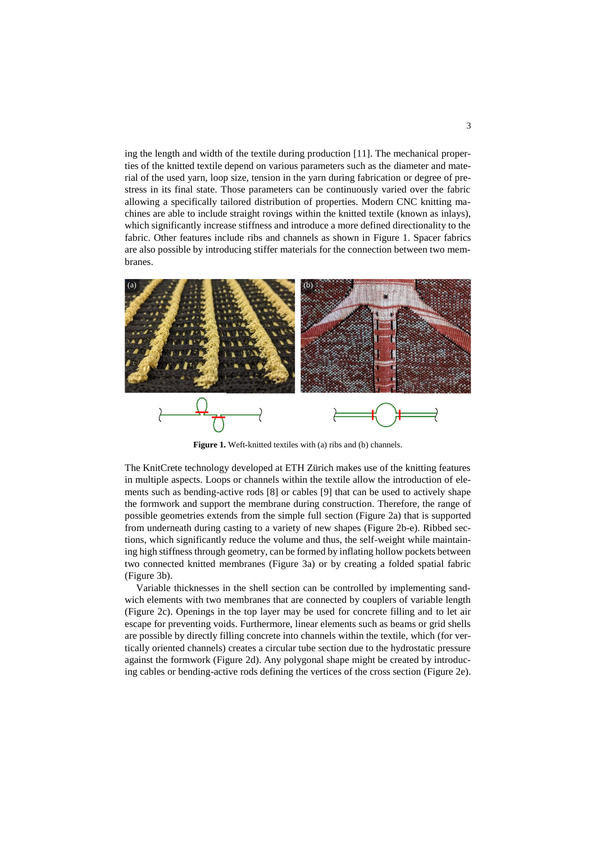ing the length and width of the textile during production [11]. The mechanical properties of the knitted textile depend on various parameters such as the diameter and material of the used yarn, loop size, tension in the yarn during fabrication or degree of prestress in its final state. Those parameters can be continuously varied over the fabric allowing a specifically tailored distribution of properties. Modern CNC knitting machines are able to include straight rovings within the knitted textile (known as inlays), which significantly increase stiffness and introduce a more defined directionality to the fabric. Other features include ribs and channels as shown in [Figure 1.](#page-3-0) Spacer fabrics are also possible by introducing stiffer materials for the connection between two membranes.



**Figure 1.** Weft-knitted textiles with (a) ribs and (b) channels.

<span id="page-3-0"></span>The KnitCrete technology developed at ETH Zürich makes use of the knitting features in multiple aspects. Loops or channels within the textile allow the introduction of elements such as bending-active rods [8] or cables [9] that can be used to actively shape the formwork and support the membrane during construction. Therefore, the range of possible geometries extends from the simple full section [\(Figure 2a](#page-4-0)) that is supported from underneath during casting to a variety of new shapes [\(Figure 2b](#page-4-0)-e). Ribbed sections, which significantly reduce the volume and thus, the self-weight while maintaining high stiffness through geometry, can be formed by inflating hollow pockets between two connected knitted membranes [\(Figure 3a](#page-4-1)) or by creating a folded spatial fabric [\(Figure 3b](#page-4-1)).

Variable thicknesses in the shell section can be controlled by implementing sandwich elements with two membranes that are connected by couplers of variable length [\(Figure 2c](#page-4-0)). Openings in the top layer may be used for concrete filling and to let air escape for preventing voids. Furthermore, linear elements such as beams or grid shells are possible by directly filling concrete into channels within the textile, which (for vertically oriented channels) creates a circular tube section due to the hydrostatic pressure against the formwork [\(Figure 2d](#page-4-0)). Any polygonal shape might be created by introducing cables or bending-active rods defining the vertices of the cross section [\(Figure 2e](#page-4-0)).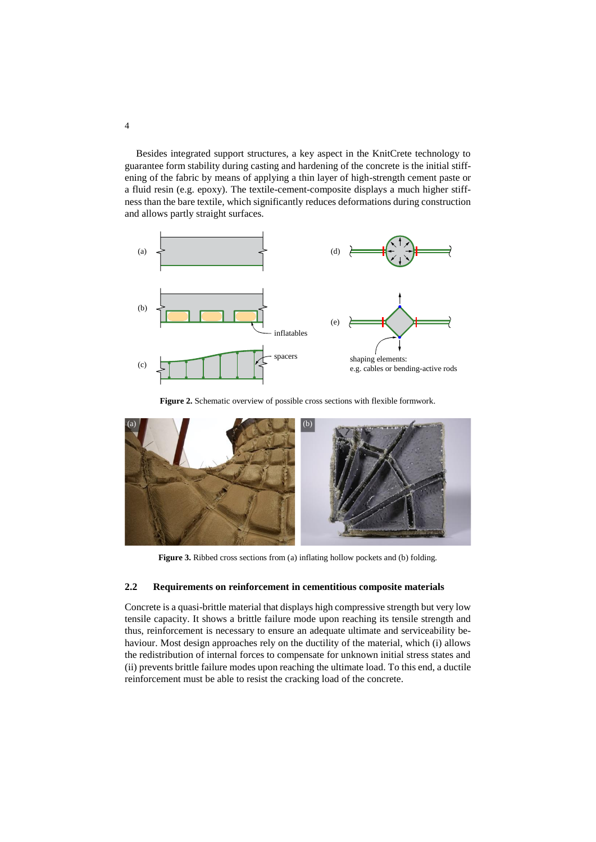Besides integrated support structures, a key aspect in the KnitCrete technology to guarantee form stability during casting and hardening of the concrete is the initial stiffening of the fabric by means of applying a thin layer of high-strength cement paste or a fluid resin (e.g. epoxy). The textile-cement-composite displays a much higher stiffness than the bare textile, which significantly reduces deformations during construction and allows partly straight surfaces.



**Figure 2.** Schematic overview of possible cross sections with flexible formwork.

<span id="page-4-0"></span>

**Figure 3.** Ribbed cross sections from (a) inflating hollow pockets and (b) folding.

#### <span id="page-4-1"></span>**2.2 Requirements on reinforcement in cementitious composite materials**

Concrete is a quasi-brittle material that displays high compressive strength but very low tensile capacity. It shows a brittle failure mode upon reaching its tensile strength and thus, reinforcement is necessary to ensure an adequate ultimate and serviceability behaviour. Most design approaches rely on the ductility of the material, which (i) allows the redistribution of internal forces to compensate for unknown initial stress states and (ii) prevents brittle failure modes upon reaching the ultimate load. To this end, a ductile reinforcement must be able to resist the cracking load of the concrete.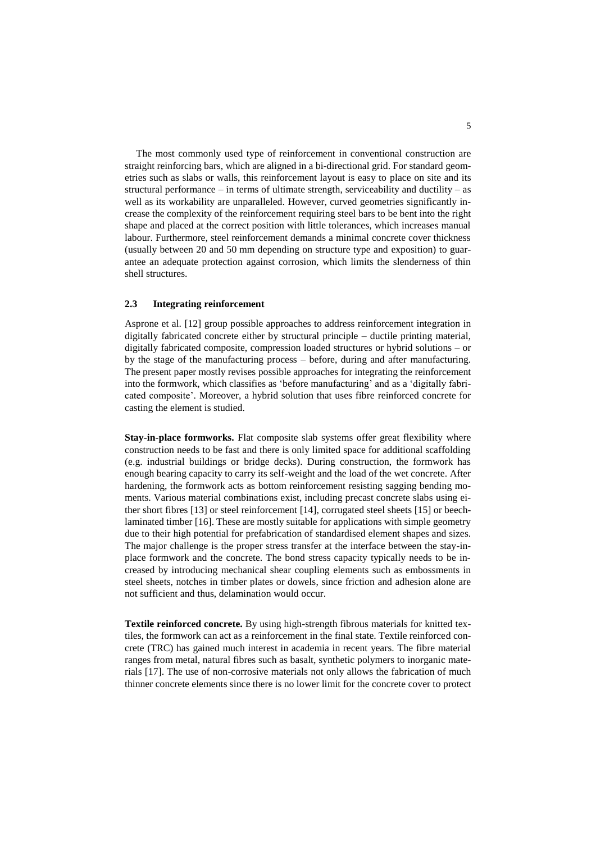The most commonly used type of reinforcement in conventional construction are straight reinforcing bars, which are aligned in a bi-directional grid. For standard geometries such as slabs or walls, this reinforcement layout is easy to place on site and its structural performance – in terms of ultimate strength, serviceability and ductility – as well as its workability are unparalleled. However, curved geometries significantly increase the complexity of the reinforcement requiring steel bars to be bent into the right shape and placed at the correct position with little tolerances, which increases manual labour. Furthermore, steel reinforcement demands a minimal concrete cover thickness (usually between 20 and 50 mm depending on structure type and exposition) to guarantee an adequate protection against corrosion, which limits the slenderness of thin shell structures.

#### **2.3 Integrating reinforcement**

Asprone et al. [12] group possible approaches to address reinforcement integration in digitally fabricated concrete either by structural principle – ductile printing material, digitally fabricated composite, compression loaded structures or hybrid solutions – or by the stage of the manufacturing process – before, during and after manufacturing. The present paper mostly revises possible approaches for integrating the reinforcement into the formwork, which classifies as 'before manufacturing' and as a 'digitally fabricated composite'. Moreover, a hybrid solution that uses fibre reinforced concrete for casting the element is studied.

**Stay-in-place formworks.** Flat composite slab systems offer great flexibility where construction needs to be fast and there is only limited space for additional scaffolding (e.g. industrial buildings or bridge decks). During construction, the formwork has enough bearing capacity to carry its self-weight and the load of the wet concrete. After hardening, the formwork acts as bottom reinforcement resisting sagging bending moments. Various material combinations exist, including precast concrete slabs using either short fibres [13] or steel reinforcement [14], corrugated steel sheets [15] or beechlaminated timber [16]. These are mostly suitable for applications with simple geometry due to their high potential for prefabrication of standardised element shapes and sizes. The major challenge is the proper stress transfer at the interface between the stay-inplace formwork and the concrete. The bond stress capacity typically needs to be increased by introducing mechanical shear coupling elements such as embossments in steel sheets, notches in timber plates or dowels, since friction and adhesion alone are not sufficient and thus, delamination would occur.

**Textile reinforced concrete.** By using high-strength fibrous materials for knitted textiles, the formwork can act as a reinforcement in the final state. Textile reinforced concrete (TRC) has gained much interest in academia in recent years. The fibre material ranges from metal, natural fibres such as basalt, synthetic polymers to inorganic materials [17]. The use of non-corrosive materials not only allows the fabrication of much thinner concrete elements since there is no lower limit for the concrete cover to protect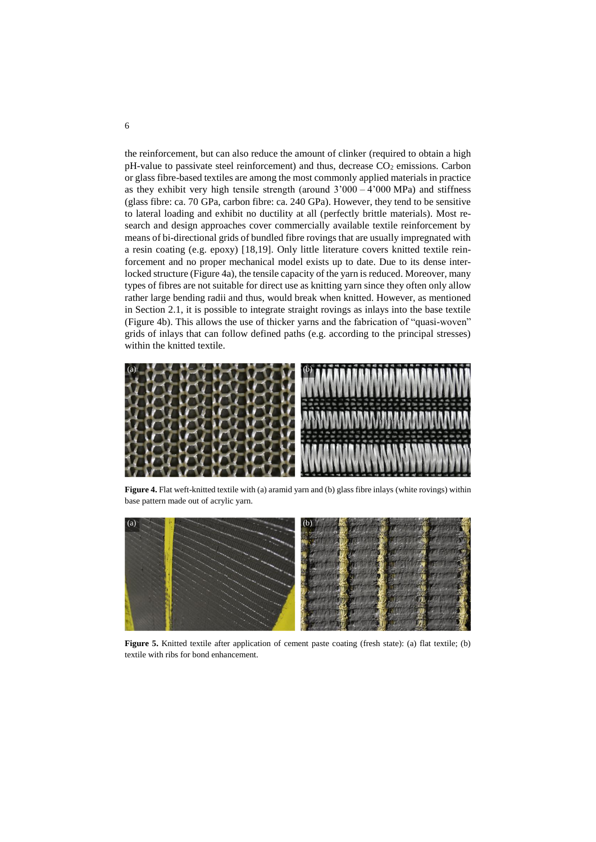the reinforcement, but can also reduce the amount of clinker (required to obtain a high  $pH$ -value to passivate steel reinforcement) and thus, decrease  $CO<sub>2</sub>$  emissions. Carbon or glass fibre-based textiles are among the most commonly applied materials in practice as they exhibit very high tensile strength (around  $3'000 - 4'000$  MPa) and stiffness (glass fibre: ca. 70 GPa, carbon fibre: ca. 240 GPa). However, they tend to be sensitive to lateral loading and exhibit no ductility at all (perfectly brittle materials). Most research and design approaches cover commercially available textile reinforcement by means of bi-directional grids of bundled fibre rovings that are usually impregnated with a resin coating (e.g. epoxy) [18,19]. Only little literature covers knitted textile reinforcement and no proper mechanical model exists up to date. Due to its dense interlocked structure [\(Figure 4a](#page-6-0)), the tensile capacity of the yarn is reduced. Moreover, many types of fibres are not suitable for direct use as knitting yarn since they often only allow rather large bending radii and thus, would break when knitted. However, as mentioned in Section [2.1,](#page-2-0) it is possible to integrate straight rovings as inlays into the base textile [\(Figure 4b](#page-6-0)). This allows the use of thicker yarns and the fabrication of "quasi-woven" grids of inlays that can follow defined paths (e.g. according to the principal stresses) within the knitted textile.



Figure 4. Flat weft-knitted textile with (a) aramid yarn and (b) glass fibre inlays (white rovings) within base pattern made out of acrylic yarn.

<span id="page-6-1"></span><span id="page-6-0"></span>![](_page_6_Picture_3.jpeg)

**Figure 5.** Knitted textile after application of cement paste coating (fresh state): (a) flat textile; (b) textile with ribs for bond enhancement.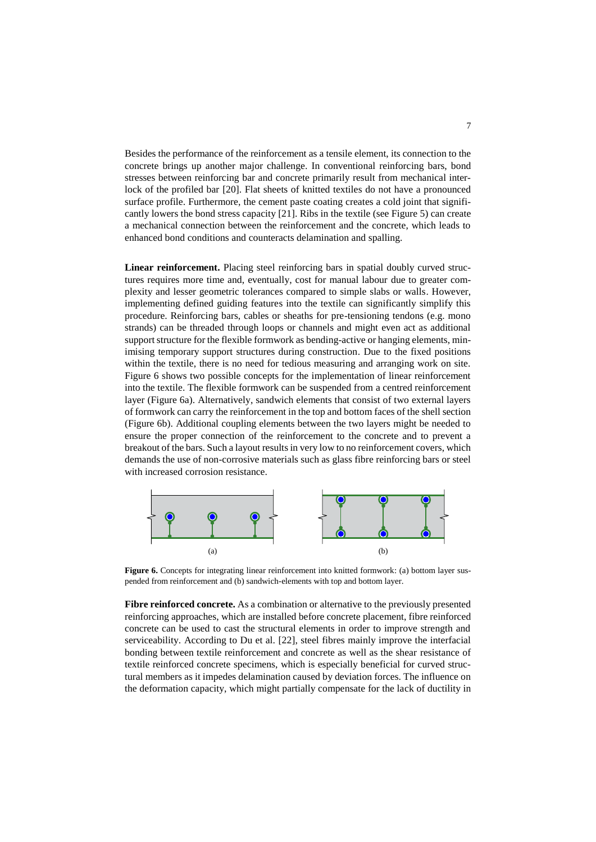Besides the performance of the reinforcement as a tensile element, its connection to the concrete brings up another major challenge. In conventional reinforcing bars, bond stresses between reinforcing bar and concrete primarily result from mechanical interlock of the profiled bar [20]. Flat sheets of knitted textiles do not have a pronounced surface profile. Furthermore, the cement paste coating creates a cold joint that significantly lowers the bond stress capacity [21]. Ribs in the textile (see [Figure 5\)](#page-6-1) can create a mechanical connection between the reinforcement and the concrete, which leads to enhanced bond conditions and counteracts delamination and spalling.

**Linear reinforcement.** Placing steel reinforcing bars in spatial doubly curved structures requires more time and, eventually, cost for manual labour due to greater complexity and lesser geometric tolerances compared to simple slabs or walls. However, implementing defined guiding features into the textile can significantly simplify this procedure. Reinforcing bars, cables or sheaths for pre-tensioning tendons (e.g. mono strands) can be threaded through loops or channels and might even act as additional support structure for the flexible formwork as bending-active or hanging elements, minimising temporary support structures during construction. Due to the fixed positions within the textile, there is no need for tedious measuring and arranging work on site. [Figure 6](#page-7-0) shows two possible concepts for the implementation of linear reinforcement into the textile. The flexible formwork can be suspended from a centred reinforcement layer [\(Figure 6a](#page-7-0)). Alternatively, sandwich elements that consist of two external layers of formwork can carry the reinforcement in the top and bottom faces of the shell section [\(Figure 6b](#page-7-0)). Additional coupling elements between the two layers might be needed to ensure the proper connection of the reinforcement to the concrete and to prevent a breakout of the bars. Such a layout results in very low to no reinforcement covers, which demands the use of non-corrosive materials such as glass fibre reinforcing bars or steel with increased corrosion resistance.

![](_page_7_Figure_2.jpeg)

<span id="page-7-0"></span>**Figure 6.** Concepts for integrating linear reinforcement into knitted formwork: (a) bottom layer suspended from reinforcement and (b) sandwich-elements with top and bottom layer.

**Fibre reinforced concrete.** As a combination or alternative to the previously presented reinforcing approaches, which are installed before concrete placement, fibre reinforced concrete can be used to cast the structural elements in order to improve strength and serviceability. According to Du et al. [22], steel fibres mainly improve the interfacial bonding between textile reinforcement and concrete as well as the shear resistance of textile reinforced concrete specimens, which is especially beneficial for curved structural members as it impedes delamination caused by deviation forces. The influence on the deformation capacity, which might partially compensate for the lack of ductility in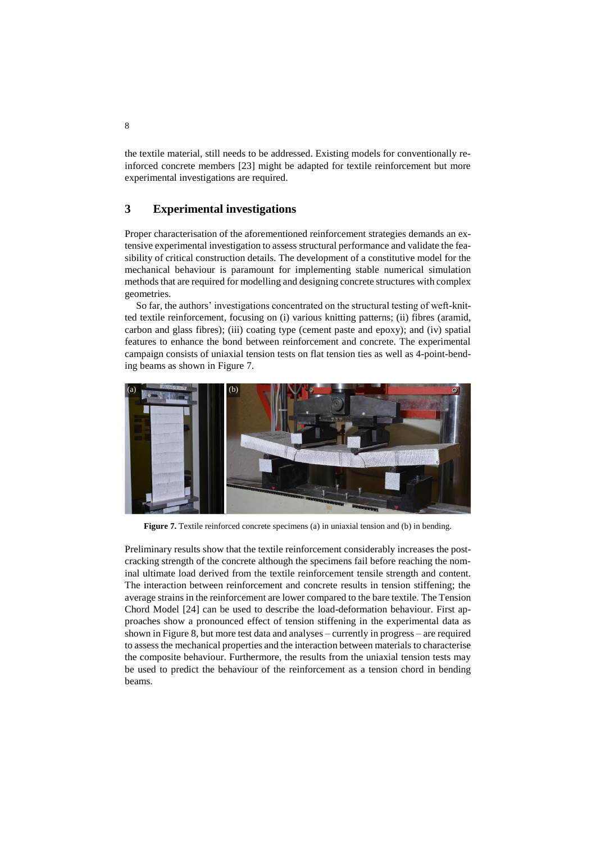the textile material, still needs to be addressed. Existing models for conventionally reinforced concrete members [23] might be adapted for textile reinforcement but more experimental investigations are required.

## **3 Experimental investigations**

Proper characterisation of the aforementioned reinforcement strategies demands an extensive experimental investigation to assess structural performance and validate the feasibility of critical construction details. The development of a constitutive model for the mechanical behaviour is paramount for implementing stable numerical simulation methods that are required for modelling and designing concrete structures with complex geometries.

So far, the authors' investigations concentrated on the structural testing of weft-knitted textile reinforcement, focusing on (i) various knitting patterns; (ii) fibres (aramid, carbon and glass fibres); (iii) coating type (cement paste and epoxy); and (iv) spatial features to enhance the bond between reinforcement and concrete. The experimental campaign consists of uniaxial tension tests on flat tension ties as well as 4-point-bending beams as shown in [Figure 7.](#page-8-0) 

![](_page_8_Picture_4.jpeg)

Figure 7. Textile reinforced concrete specimens (a) in uniaxial tension and (b) in bending.

<span id="page-8-0"></span>Preliminary results show that the textile reinforcement considerably increases the postcracking strength of the concrete although the specimens fail before reaching the nominal ultimate load derived from the textile reinforcement tensile strength and content. The interaction between reinforcement and concrete results in tension stiffening; the average strains in the reinforcement are lower compared to the bare textile. The Tension Chord Model [24] can be used to describe the load-deformation behaviour. First approaches show a pronounced effect of tension stiffening in the experimental data as shown i[n Figure 8,](#page-9-0) but more test data and analyses – currently in progress – are required to assess the mechanical properties and the interaction between materials to characterise the composite behaviour. Furthermore, the results from the uniaxial tension tests may be used to predict the behaviour of the reinforcement as a tension chord in bending beams.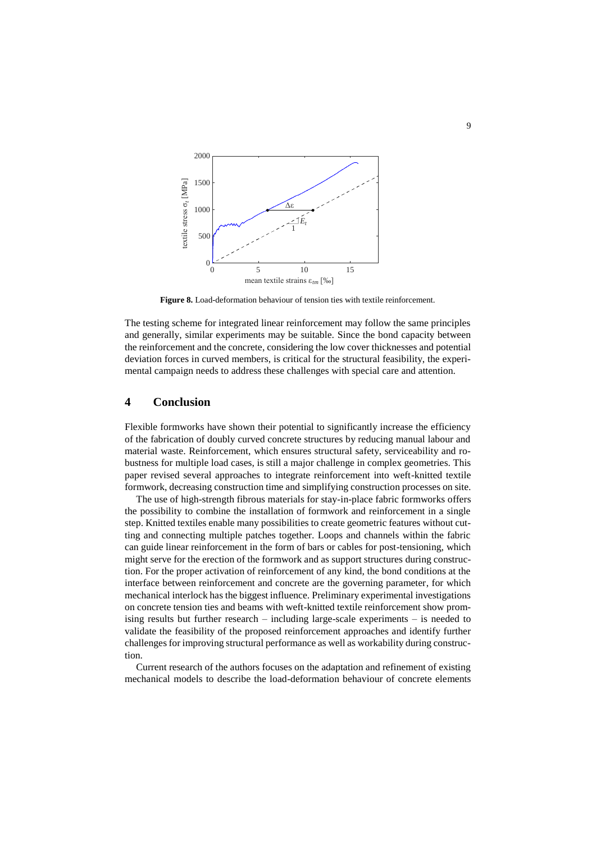![](_page_9_Figure_0.jpeg)

Figure 8. Load-deformation behaviour of tension ties with textile reinforcement.

<span id="page-9-0"></span>The testing scheme for integrated linear reinforcement may follow the same principles and generally, similar experiments may be suitable. Since the bond capacity between the reinforcement and the concrete, considering the low cover thicknesses and potential deviation forces in curved members, is critical for the structural feasibility, the experimental campaign needs to address these challenges with special care and attention.

# **4 Conclusion**

Flexible formworks have shown their potential to significantly increase the efficiency of the fabrication of doubly curved concrete structures by reducing manual labour and material waste. Reinforcement, which ensures structural safety, serviceability and robustness for multiple load cases, is still a major challenge in complex geometries. This paper revised several approaches to integrate reinforcement into weft-knitted textile formwork, decreasing construction time and simplifying construction processes on site.

The use of high-strength fibrous materials for stay-in-place fabric formworks offers the possibility to combine the installation of formwork and reinforcement in a single step. Knitted textiles enable many possibilities to create geometric features without cutting and connecting multiple patches together. Loops and channels within the fabric can guide linear reinforcement in the form of bars or cables for post-tensioning, which might serve for the erection of the formwork and as support structures during construction. For the proper activation of reinforcement of any kind, the bond conditions at the interface between reinforcement and concrete are the governing parameter, for which mechanical interlock has the biggest influence. Preliminary experimental investigations on concrete tension ties and beams with weft-knitted textile reinforcement show promising results but further research – including large-scale experiments – is needed to validate the feasibility of the proposed reinforcement approaches and identify further challenges for improving structural performance as well as workability during construction.

Current research of the authors focuses on the adaptation and refinement of existing mechanical models to describe the load-deformation behaviour of concrete elements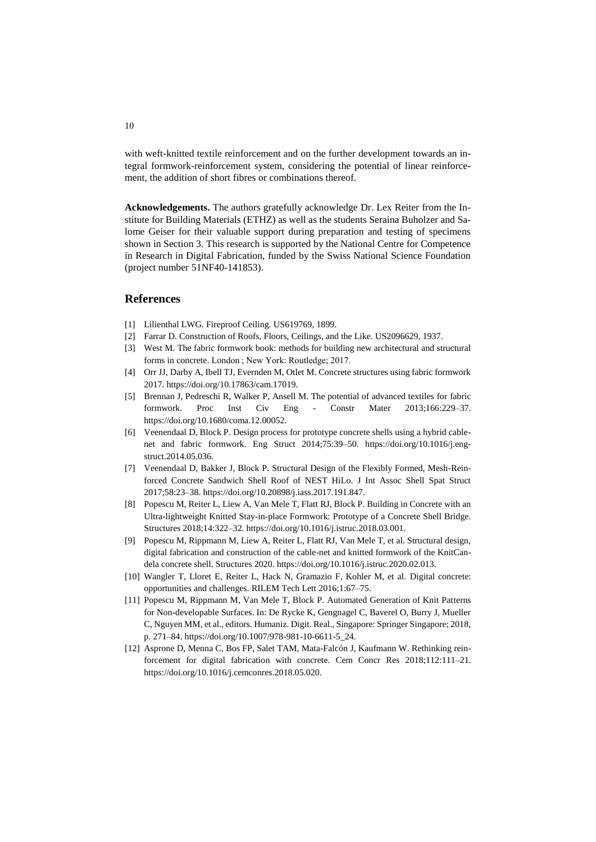with weft-knitted textile reinforcement and on the further development towards an integral formwork-reinforcement system, considering the potential of linear reinforcement, the addition of short fibres or combinations thereof.

**Acknowledgements.** The authors gratefully acknowledge Dr. Lex Reiter from the Institute for Building Materials (ETHZ) as well as the students Seraina Buholzer and Salome Geiser for their valuable support during preparation and testing of specimens shown in Section 3. This research is supported by the National Centre for Competence in Research in Digital Fabrication, funded by the Swiss National Science Foundation (project number 51NF40-141853).

#### **References**

- [1] Lilienthal LWG. Fireproof Ceiling. US619769, 1899.
- [2] Farrar D. Construction of Roofs, Floors, Ceilings, and the Like. US2096629, 1937.
- [3] West M. The fabric formwork book: methods for building new architectural and structural forms in concrete. London ; New York: Routledge; 2017.
- [4] Orr JJ, Darby A, Ibell TJ, Evernden M, Otlet M. Concrete structures using fabric formwork 2017. https://doi.org/10.17863/cam.17019.
- [5] Brennan J, Pedreschi R, Walker P, Ansell M. The potential of advanced textiles for fabric formwork. Proc Inst Civ Eng - Constr Mater 2013;166:229–37. https://doi.org/10.1680/coma.12.00052.
- [6] Veenendaal D, Block P. Design process for prototype concrete shells using a hybrid cablenet and fabric formwork. Eng Struct 2014;75:39–50. https://doi.org/10.1016/j.engstruct.2014.05.036.
- [7] Veenendaal D, Bakker J, Block P. Structural Design of the Flexibly Formed, Mesh-Reinforced Concrete Sandwich Shell Roof of NEST HiLo. J Int Assoc Shell Spat Struct 2017;58:23–38. https://doi.org/10.20898/j.iass.2017.191.847.
- [8] Popescu M, Reiter L, Liew A, Van Mele T, Flatt RJ, Block P. Building in Concrete with an Ultra-lightweight Knitted Stay-in-place Formwork: Prototype of a Concrete Shell Bridge. Structures 2018;14:322–32. https://doi.org/10.1016/j.istruc.2018.03.001.
- [9] Popescu M, Rippmann M, Liew A, Reiter L, Flatt RJ, Van Mele T, et al. Structural design, digital fabrication and construction of the cable-net and knitted formwork of the KnitCandela concrete shell. Structures 2020. https://doi.org/10.1016/j.istruc.2020.02.013.
- [10] Wangler T, Lloret E, Reiter L, Hack N, Gramazio F, Kohler M, et al. Digital concrete: opportunities and challenges. RILEM Tech Lett 2016;1:67–75.
- [11] Popescu M, Rippmann M, Van Mele T, Block P. Automated Generation of Knit Patterns for Non-developable Surfaces. In: De Rycke K, Gengnagel C, Baverel O, Burry J, Mueller C, Nguyen MM, et al., editors. Humaniz. Digit. Real., Singapore: Springer Singapore; 2018, p. 271–84. https://doi.org/10.1007/978-981-10-6611-5\_24.
- [12] Asprone D, Menna C, Bos FP, Salet TAM, Mata-Falcón J, Kaufmann W. Rethinking reinforcement for digital fabrication with concrete. Cem Concr Res 2018;112:111–21. https://doi.org/10.1016/j.cemconres.2018.05.020.